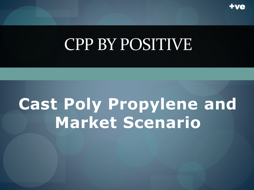

## **Cast Poly Propylene and Market Scenario**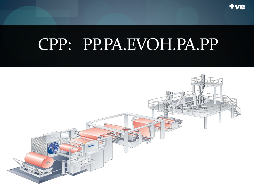

## CPP: PP.PA.EVOH.PA.PP

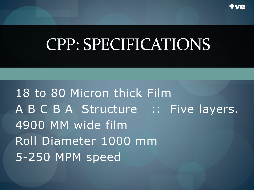

#### CPP: SPECIFICATIONS

18 to 80 Micron thick Film A B C B A Structure :: Five layers. 4900 MM wide film Roll Diameter 1000 mm 5-250 MPM speed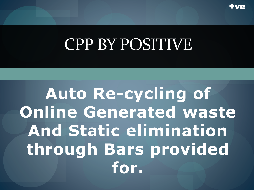

**Auto Re-cycling of Online Generated waste And Static elimination** through Bars provided for.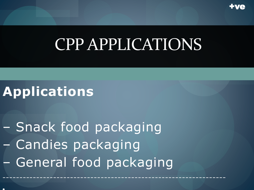

## CPP APPLICATIONS

#### **Applications**

•

– Snack food packaging – Candies packaging – General food packaging

------------------------------------------------------------------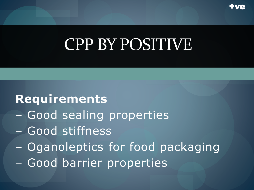

#### **Requirements**

- Good sealing properties
- Good stiffness
- Oganoleptics for food packaging
- Good barrier properties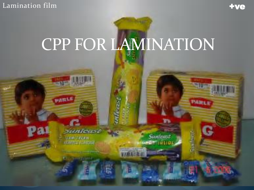Lamination film

**THE OWNER** 

PARLE

omferast

*TERCEON* **UM E L'Almade**  **tve** 

**PARTLE** 

**Sunhast** 

## CPP FOR LAMINATION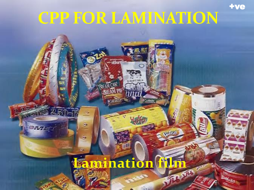#### **CPP FOR LAMINATION**

.. i But

 $\mathbb{C} \mathfrak{D} E$ 

 $-2.7$ 

ģ.

吸

**ALL** 

tve

#### **Famination film** 行上があ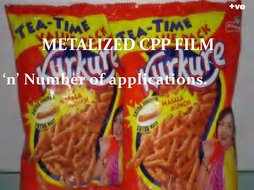# METALIZED CPP FILM

## 'n' Number of applications.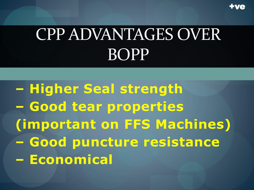

+ve

**– Higher Seal strength – Good tear properties (important on FFS Machines) – Good puncture resistance – Economical**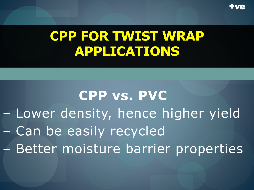

#### **CPP FOR TWIST WRAP APPLICATIONS**

**CPP vs. PVC** – Lower density, hence higher yield – Can be easily recycled – Better moisture barrier properties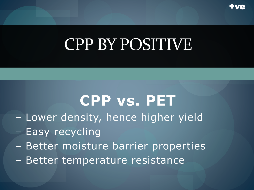

## **CPP vs. PET**

- Lower density, hence higher yield
- Easy recycling
- Better moisture barrier properties
- Better temperature resistance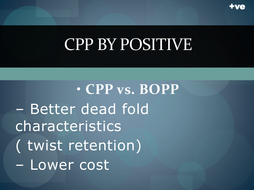

• **CPP vs. BOPP** – Better dead fold characteristics ( twist retention) – Lower cost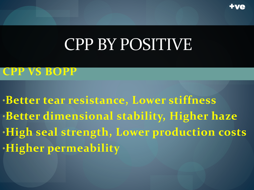

#### **CPP VS BOPP**

•**Better tear resistance, Lower stiffness** •**Better dimensional stability, Higher haze** •**High seal strength, Lower production costs** •**Higher permeability**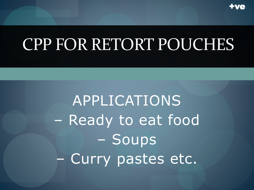

## CPP FOR RETORT POUCHES

APPLICATIONS - Ready to eat food - Soups - Curry pastes etc.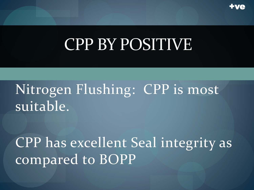

#### Nitrogen Flushing: CPP is most suitable.

CPP has excellent Seal integrity as compared to BOPP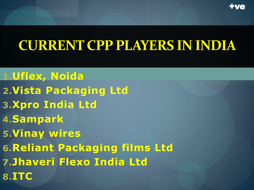

#### **CURRENT CPP PLAYERS IN INDIA**

**1.Uflex, Noida 2.Vista Packaging Ltd 3.Xpro India Ltd 4.Sampark 5.Vinay wires 6.Reliant Packaging films Ltd 7.Jhaveri Flexo India Ltd 8.ITC**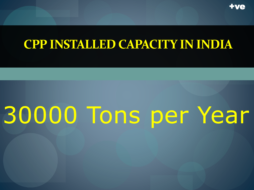

#### **CPP INSTALLED CAPACITY IN INDIA**

## 30000 Tons per Year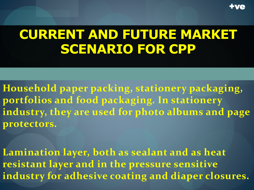

#### **CURRENT AND FUTURE MARKET SCENARIO FOR CPP**

**Household paper packing, stationery packaging, portfolios and food packaging. In stationery industry, they are used for photo albums and page protectors.** 

**Lamination layer, both as sealant and as heat resistant layer and in the pressure sensitive industry for adhesive coating and diaper closures.**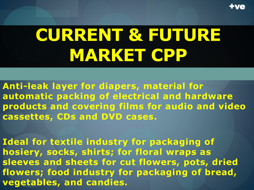

## **CURRENT & FUTURE MARKET CPP**

**Anti-leak layer for diapers, material for automatic packing of electrical and hardware products and covering films for audio and video cassettes, CDs and DVD cases.** 

**Ideal for textile industry for packaging of hosiery, socks, shirts; for floral wraps as sleeves and sheets for cut flowers, pots, dried flowers; food industry for packaging of bread, vegetables, and candies.**